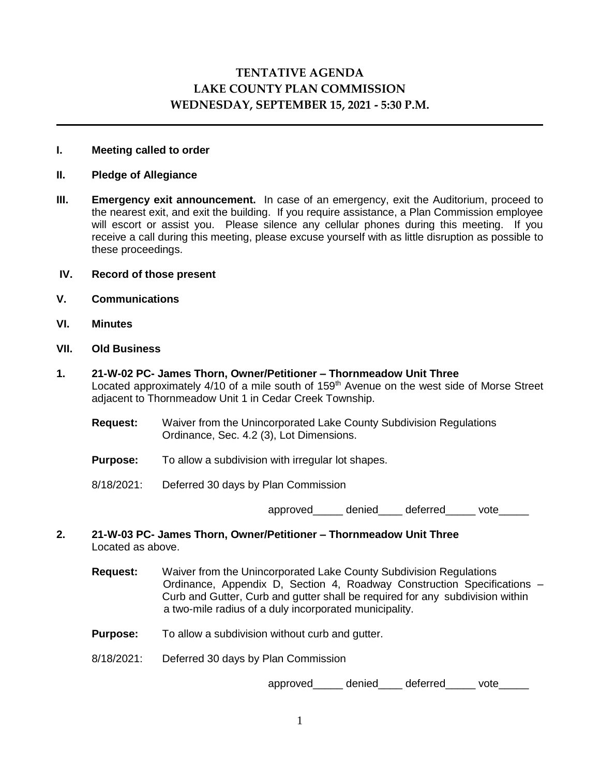# **TENTATIVE AGENDA LAKE COUNTY PLAN COMMISSION WEDNESDAY, SEPTEMBER 15, 2021 - 5:30 P.M.**

#### **I. Meeting called to order**

#### **II. Pledge of Allegiance**

**III. Emergency exit announcement.** In case of an emergency, exit the Auditorium, proceed to the nearest exit, and exit the building. If you require assistance, a Plan Commission employee will escort or assist you. Please silence any cellular phones during this meeting. If you receive a call during this meeting, please excuse yourself with as little disruption as possible to these proceedings.

## **IV. Record of those present**

- **V. Communications**
- **VI. Minutes**
- **VII. Old Business**
- **1. 21-W-02 PC- James Thorn, Owner/Petitioner – Thornmeadow Unit Three** Located approximately 4/10 of a mile south of 159<sup>th</sup> Avenue on the west side of Morse Street adjacent to Thornmeadow Unit 1 in Cedar Creek Township.
	- **Request:** Waiver from the Unincorporated Lake County Subdivision Regulations Ordinance, Sec. 4.2 (3), Lot Dimensions.
	- **Purpose:** To allow a subdivision with irregular lot shapes.
	- 8/18/2021: Deferred 30 days by Plan Commission

approved denied deferred vote

- **2. 21-W-03 PC- James Thorn, Owner/Petitioner – Thornmeadow Unit Three** Located as above.
	- **Request:** Waiver from the Unincorporated Lake County Subdivision Regulations Ordinance, Appendix D, Section 4, Roadway Construction Specifications – Curb and Gutter, Curb and gutter shall be required for any subdivision within a two-mile radius of a duly incorporated municipality.
	- **Purpose:** To allow a subdivision without curb and gutter.
	- 8/18/2021: Deferred 30 days by Plan Commission

approved denied deferred vote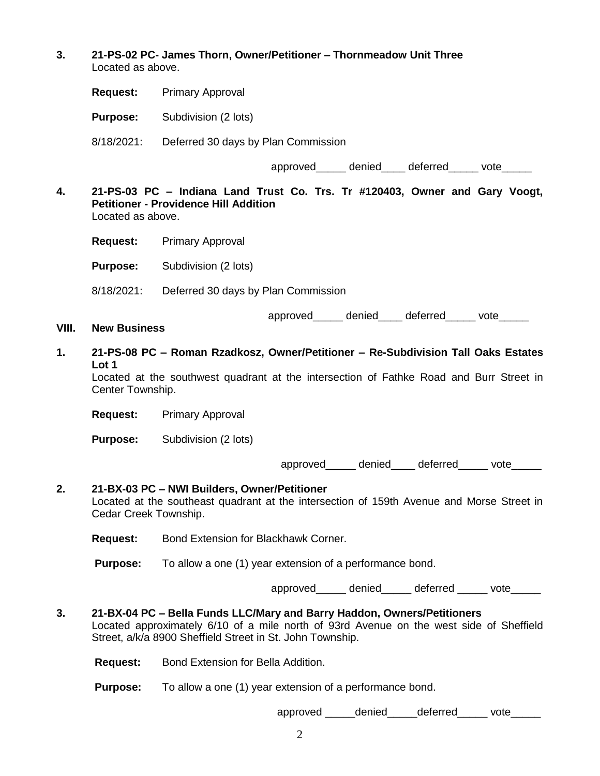**3. 21-PS-02 PC- James Thorn, Owner/Petitioner – Thornmeadow Unit Three** Located as above.

**Request:** Primary Approval

**Purpose:** Subdivision (2 lots)

8/18/2021: Deferred 30 days by Plan Commission

approved denied deferred vote

**4. 21-PS-03 PC – Indiana Land Trust Co. Trs. Tr #120403, Owner and Gary Voogt, Petitioner - Providence Hill Addition**  Located as above.

**Request:** Primary Approval

**Purpose:** Subdivision (2 lots)

8/18/2021: Deferred 30 days by Plan Commission

approved denied deferred vote

**VIII. New Business**

**1. 21-PS-08 PC – Roman Rzadkosz, Owner/Petitioner – Re-Subdivision Tall Oaks Estates Lot 1**

Located at the southwest quadrant at the intersection of Fathke Road and Burr Street in Center Township.

**Request:** Primary Approval

**Purpose:** Subdivision (2 lots)

approved\_\_\_\_\_ denied\_\_\_\_ deferred\_\_\_\_\_ vote\_\_\_\_\_

## **2. 21-BX-03 PC – NWI Builders, Owner/Petitioner**

Located at the southeast quadrant at the intersection of 159th Avenue and Morse Street in Cedar Creek Township.

**Request:** Bond Extension for Blackhawk Corner.

**Purpose:** To allow a one (1) year extension of a performance bond.

approved denied deferred vote

**3. 21-BX-04 PC – Bella Funds LLC/Mary and Barry Haddon, Owners/Petitioners** Located approximately 6/10 of a mile north of 93rd Avenue on the west side of Sheffield Street, a/k/a 8900 Sheffield Street in St. John Township.

**Request:** Bond Extension for Bella Addition.

**Purpose:** To allow a one (1) year extension of a performance bond.

approved denied deferred vote